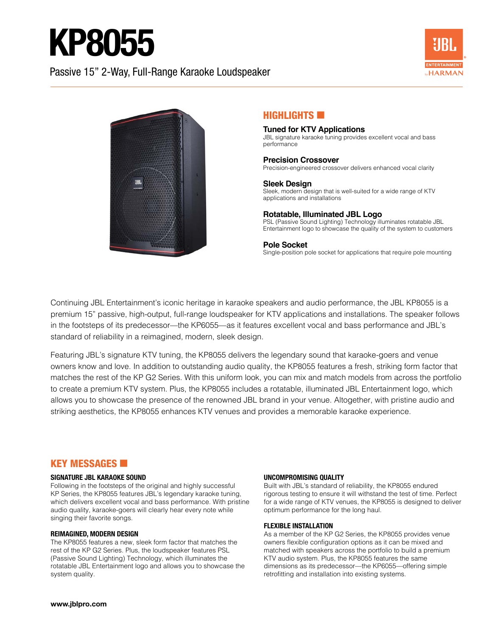## KP8055

## Passive 15" 2-Way, Full-Range Karaoke Loudspeaker





#### HIGHLIGHTS **6**

#### **Tuned for KTV Applications** JBL signature karaoke tuning provides excellent vocal and bass performance

#### **Precision Crossover**

Precision-engineered crossover delivers enhanced vocal clarity

**Sleek Design** Sleek, modern design that is well-suited for a wide range of KTV applications and installations

#### **Rotatable, Illuminated JBL Logo**

PSL (Passive Sound Lighting) Technology illuminates rotatable JBL Entertainment logo to showcase the quality of the system to customers

#### **Pole Socket**

Single-position pole socket for applications that require pole mounting

Continuing JBL Entertainment's iconic heritage in karaoke speakers and audio performance, the JBL KP8055 is a premium 15" passive, high-output, full-range loudspeaker for KTV applications and installations. The speaker follows in the footsteps of its predecessor—the KP6055—as it features excellent vocal and bass performance and JBL's standard of reliability in a reimagined, modern, sleek design.

Featuring JBL's signature KTV tuning, the KP8055 delivers the legendary sound that karaoke-goers and venue owners know and love. In addition to outstanding audio quality, the KP8055 features a fresh, striking form factor that matches the rest of the KP G2 Series. With this uniform look, you can mix and match models from across the portfolio to create a premium KTV system. Plus, the KP8055 includes a rotatable, illuminated JBL Entertainment logo, which allows you to showcase the presence of the renowned JBL brand in your venue. Altogether, with pristine audio and striking aesthetics, the KP8055 enhances KTV venues and provides a memorable karaoke experience.

### **KEY MESSAGES <b>E**

#### **SIGNATURE JBL KARAOKE SOUND**

Following in the footsteps of the original and highly successful KP Series, the KP8055 features JBL's legendary karaoke tuning, which delivers excellent vocal and bass performance. With pristine audio quality, karaoke-goers will clearly hear every note while singing their favorite songs.

#### **REIMAGINED, MODERN DESIGN**

The KP8055 features a new, sleek form factor that matches the rest of the KP G2 Series. Plus, the loudspeaker features PSL (Passive Sound Lighting) Technology, which illuminates the rotatable JBL Entertainment logo and allows you to showcase the system quality.

#### **UNCOMPROMISING QUALITY**

Built with JBL's standard of reliability, the KP8055 endured rigorous testing to ensure it will withstand the test of time. Perfect for a wide range of KTV venues, the KP8055 is designed to deliver optimum performance for the long haul.

#### **FLEXIBLE INSTALLATION**

As a member of the KP G2 Series, the KP8055 provides venue owners flexible configuration options as it can be mixed and matched with speakers across the portfolio to build a premium KTV audio system. Plus, the KP8055 features the same dimensions as its predecessor—the KP6055—offering simple retrofitting and installation into existing systems.